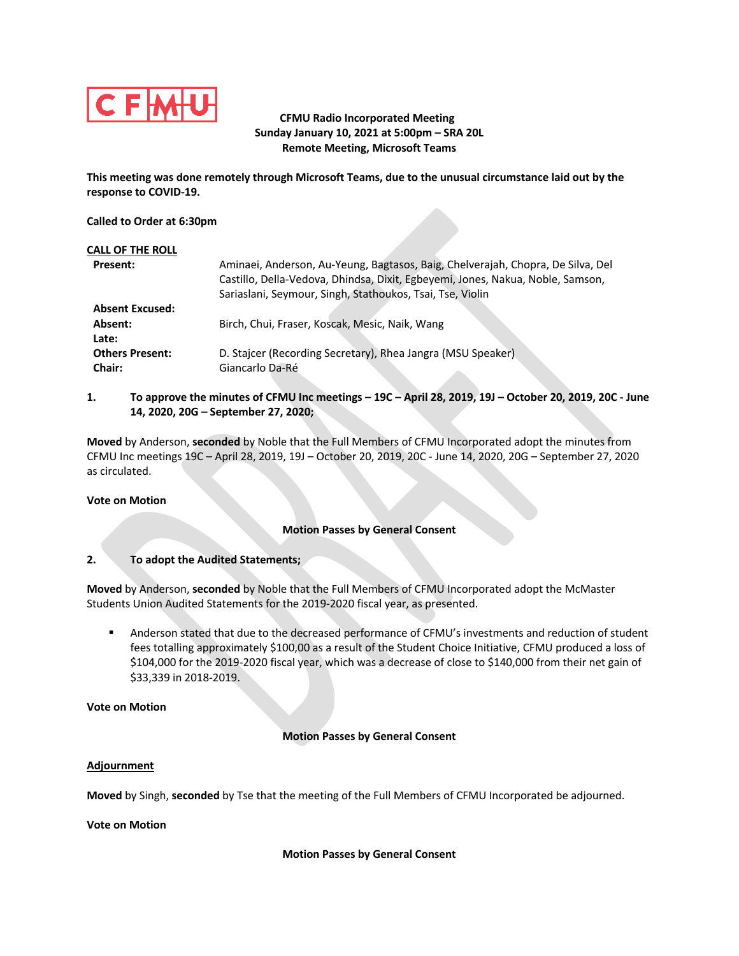

# **CFMU Radio Incorporated Meeting Sunday January 10, 2021 at 5:00pm – SRA 20L Remote Meeting, Microsoft Teams**

**This meeting was done remotely through Microsoft Teams, due to the unusual circumstance laid out by the response to COVID-19.**

## **Called to Order at 6:30pm**

| <b>CALL OF THE ROLL</b> |                                                                                 |
|-------------------------|---------------------------------------------------------------------------------|
| <b>Present:</b>         | Aminaei, Anderson, Au-Yeung, Bagtasos, Baig, Chelverajah, Chopra, De Silva, Del |
|                         | Castillo, Della-Vedova, Dhindsa, Dixit, Egbeyemi, Jones, Nakua, Noble, Samson,  |
|                         | Sariaslani, Seymour, Singh, Stathoukos, Tsai, Tse, Violin                       |
| <b>Absent Excused:</b>  |                                                                                 |
| Absent:                 | Birch, Chui, Fraser, Koscak, Mesic, Naik, Wang                                  |
| Late:                   |                                                                                 |
| <b>Others Present:</b>  | D. Stajcer (Recording Secretary), Rhea Jangra (MSU Speaker)                     |
| Chair:                  | Giancarlo Da-Ré                                                                 |

**1. To approve the minutes of CFMU Inc meetings – 19C – April 28, 2019, 19J – October 20, 2019, 20C - June 14, 2020, 20G – September 27, 2020;**

**Moved** by Anderson, **seconded** by Noble that the Full Members of CFMU Incorporated adopt the minutes from CFMU Inc meetings 19C – April 28, 2019, 19J – October 20, 2019, 20C - June 14, 2020, 20G – September 27, 2020 as circulated.

### **Vote on Motion**

# **Motion Passes by General Consent**

## **2. To adopt the Audited Statements;**

**Moved** by Anderson, **seconded** by Noble that the Full Members of CFMU Incorporated adopt the McMaster Students Union Audited Statements for the 2019-2020 fiscal year, as presented.

■ Anderson stated that due to the decreased performance of CFMU's investments and reduction of student fees totalling approximately \$100,00 as a result of the Student Choice Initiative, CFMU produced a loss of \$104,000 for the 2019-2020 fiscal year, which was a decrease of close to \$140,000 from their net gain of \$33,339 in 2018-2019.

**Vote on Motion**

# **Motion Passes by General Consent**

### **Adjournment**

**Moved** by Singh, **seconded** by Tse that the meeting of the Full Members of CFMU Incorporated be adjourned.

**Vote on Motion**

### **Motion Passes by General Consent**